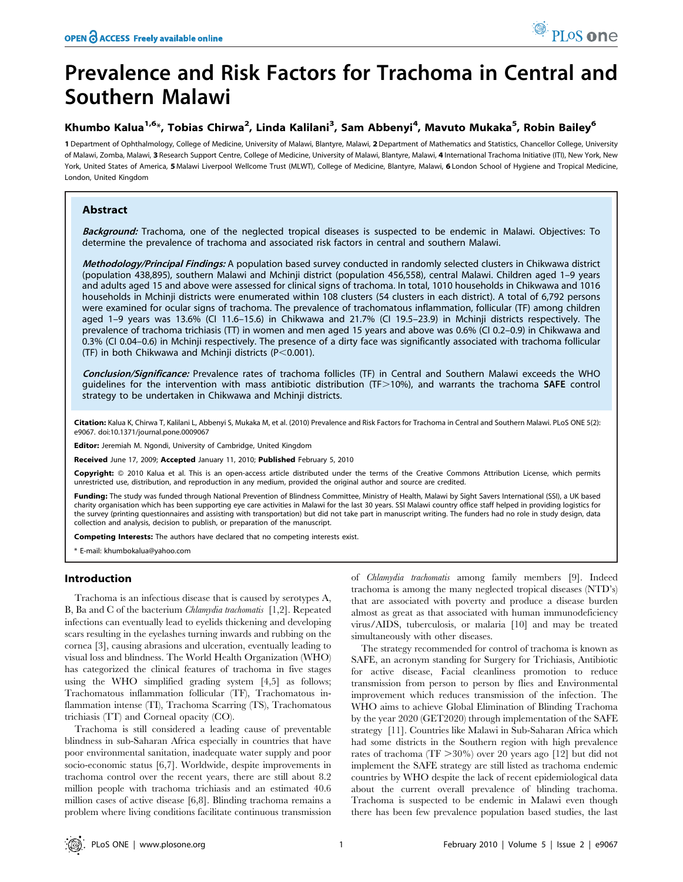# Prevalence and Risk Factors for Trachoma in Central and Southern Malawi

# Khumbo Kalua<sup>1,6</sup>\*, Tobias Chirwa<sup>2</sup>, Linda Kalilani<sup>3</sup>, Sam Abbenyi<sup>4</sup>, Mavuto Mukaka<sup>5</sup>, Robin Bailey<sup>6</sup>

1 Department of Ophthalmology, College of Medicine, University of Malawi, Blantyre, Malawi, 2 Department of Mathematics and Statistics, Chancellor College, University of Malawi, Zomba, Malawi, 3 Research Support Centre, College of Medicine, University of Malawi, Blantyre, Malawi, 4 International Trachoma Initiative (ITI), New York, New York, United States of America, 5 Malawi Liverpool Wellcome Trust (MLWT), College of Medicine, Blantyre, Malawi, 6 London School of Hygiene and Tropical Medicine, London, United Kingdom

# Abstract

Background: Trachoma, one of the neglected tropical diseases is suspected to be endemic in Malawi. Objectives: To determine the prevalence of trachoma and associated risk factors in central and southern Malawi.

Methodology/Principal Findings: A population based survey conducted in randomly selected clusters in Chikwawa district (population 438,895), southern Malawi and Mchinji district (population 456,558), central Malawi. Children aged 1–9 years and adults aged 15 and above were assessed for clinical signs of trachoma. In total, 1010 households in Chikwawa and 1016 households in Mchinji districts were enumerated within 108 clusters (54 clusters in each district). A total of 6,792 persons were examined for ocular signs of trachoma. The prevalence of trachomatous inflammation, follicular (TF) among children aged 1–9 years was 13.6% (CI 11.6–15.6) in Chikwawa and 21.7% (CI 19.5–23.9) in Mchinji districts respectively. The prevalence of trachoma trichiasis (TT) in women and men aged 15 years and above was 0.6% (CI 0.2–0.9) in Chikwawa and 0.3% (CI 0.04–0.6) in Mchinji respectively. The presence of a dirty face was significantly associated with trachoma follicular (TF) in both Chikwawa and Mchinji districts ( $P<0.001$ ).

Conclusion/Significance: Prevalence rates of trachoma follicles (TF) in Central and Southern Malawi exceeds the WHO quidelines for the intervention with mass antibiotic distribution (TF $>$ 10%), and warrants the trachoma SAFE control strategy to be undertaken in Chikwawa and Mchinji districts.

Citation: Kalua K, Chirwa T, Kalilani L, Abbenyi S, Mukaka M, et al. (2010) Prevalence and Risk Factors for Trachoma in Central and Southern Malawi. PLoS ONE 5(2): e9067. doi:10.1371/journal.pone.0009067

Editor: Jeremiah M. Ngondi, University of Cambridge, United Kingdom

Received June 17, 2009; Accepted January 11, 2010; Published February 5, 2010

Copyright: © 2010 Kalua et al. This is an open-access article distributed under the terms of the Creative Commons Attribution License, which permits unrestricted use, distribution, and reproduction in any medium, provided the original author and source are credited.

Funding: The study was funded through National Prevention of Blindness Committee, Ministry of Health, Malawi by Sight Savers International (SSI), a UK based charity organisation which has been supporting eye care activities in Malawi for the last 30 years. SSI Malawi country office staff helped in providing logistics for the survey (printing questionnaires and assisting with transportation) but did not take part in manuscript writing. The funders had no role in study design, data collection and analysis, decision to publish, or preparation of the manuscript.

Competing Interests: The authors have declared that no competing interests exist.

\* E-mail: khumbokalua@yahoo.com

# Introduction

Trachoma is an infectious disease that is caused by serotypes A, B, Ba and C of the bacterium Chlamydia trachomatis [1,2]. Repeated infections can eventually lead to eyelids thickening and developing scars resulting in the eyelashes turning inwards and rubbing on the cornea [3], causing abrasions and ulceration, eventually leading to visual loss and blindness. The World Health Organization (WHO) has categorized the clinical features of trachoma in five stages using the WHO simplified grading system [4,5] as follows; Trachomatous inflammation follicular (TF), Trachomatous inflammation intense (TI), Trachoma Scarring (TS), Trachomatous trichiasis (TT) and Corneal opacity (CO).

Trachoma is still considered a leading cause of preventable blindness in sub-Saharan Africa especially in countries that have poor environmental sanitation, inadequate water supply and poor socio-economic status [6,7]. Worldwide, despite improvements in trachoma control over the recent years, there are still about 8.2 million people with trachoma trichiasis and an estimated 40.6 million cases of active disease [6,8]. Blinding trachoma remains a problem where living conditions facilitate continuous transmission of Chlamydia trachomatis among family members [9]. Indeed trachoma is among the many neglected tropical diseases (NTD's) that are associated with poverty and produce a disease burden almost as great as that associated with human immunodeficiency virus/AIDS, tuberculosis, or malaria [10] and may be treated simultaneously with other diseases.

The strategy recommended for control of trachoma is known as SAFE, an acronym standing for Surgery for Trichiasis, Antibiotic for active disease, Facial cleanliness promotion to reduce transmission from person to person by flies and Environmental improvement which reduces transmission of the infection. The WHO aims to achieve Global Elimination of Blinding Trachoma by the year 2020 (GET2020) through implementation of the SAFE strategy [11]. Countries like Malawi in Sub-Saharan Africa which had some districts in the Southern region with high prevalence rates of trachoma (TF  $\geq\!\!30\%$  ) over 20 years ago [12] but did not implement the SAFE strategy are still listed as trachoma endemic countries by WHO despite the lack of recent epidemiological data about the current overall prevalence of blinding trachoma. Trachoma is suspected to be endemic in Malawi even though there has been few prevalence population based studies, the last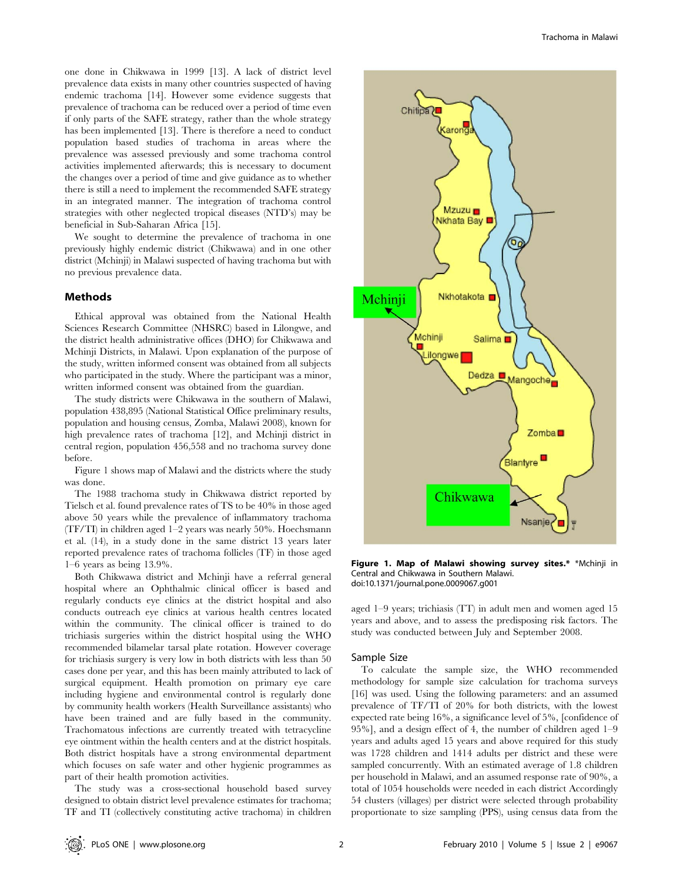one done in Chikwawa in 1999 [13]. A lack of district level prevalence data exists in many other countries suspected of having endemic trachoma [14]. However some evidence suggests that prevalence of trachoma can be reduced over a period of time even if only parts of the SAFE strategy, rather than the whole strategy has been implemented [13]. There is therefore a need to conduct population based studies of trachoma in areas where the prevalence was assessed previously and some trachoma control activities implemented afterwards; this is necessary to document the changes over a period of time and give guidance as to whether there is still a need to implement the recommended SAFE strategy

in an integrated manner. The integration of trachoma control strategies with other neglected tropical diseases (NTD's) may be beneficial in Sub-Saharan Africa [15]. We sought to determine the prevalence of trachoma in one

previously highly endemic district (Chikwawa) and in one other district (Mchinji) in Malawi suspected of having trachoma but with no previous prevalence data.

# Methods

Ethical approval was obtained from the National Health Sciences Research Committee (NHSRC) based in Lilongwe, and the district health administrative offices (DHO) for Chikwawa and Mchinji Districts, in Malawi. Upon explanation of the purpose of the study, written informed consent was obtained from all subjects who participated in the study. Where the participant was a minor, written informed consent was obtained from the guardian.

The study districts were Chikwawa in the southern of Malawi, population 438,895 (National Statistical Office preliminary results, population and housing census, Zomba, Malawi 2008), known for high prevalence rates of trachoma [12], and Mchinji district in central region, population 456,558 and no trachoma survey done before.

Figure 1 shows map of Malawi and the districts where the study was done.

The 1988 trachoma study in Chikwawa district reported by Tielsch et al. found prevalence rates of TS to be 40% in those aged above 50 years while the prevalence of inflammatory trachoma (TF/TI) in children aged 1–2 years was nearly 50%. Hoechsmann et al. (14), in a study done in the same district 13 years later reported prevalence rates of trachoma follicles (TF) in those aged 1–6 years as being 13.9%.

Both Chikwawa district and Mchinji have a referral general hospital where an Ophthalmic clinical officer is based and regularly conducts eye clinics at the district hospital and also conducts outreach eye clinics at various health centres located within the community. The clinical officer is trained to do trichiasis surgeries within the district hospital using the WHO recommended bilamelar tarsal plate rotation. However coverage for trichiasis surgery is very low in both districts with less than 50 cases done per year, and this has been mainly attributed to lack of surgical equipment. Health promotion on primary eye care including hygiene and environmental control is regularly done by community health workers (Health Surveillance assistants) who have been trained and are fully based in the community. Trachomatous infections are currently treated with tetracycline eye ointment within the health centers and at the district hospitals. Both district hospitals have a strong environmental department which focuses on safe water and other hygienic programmes as part of their health promotion activities.

The study was a cross-sectional household based survey designed to obtain district level prevalence estimates for trachoma; TF and TI (collectively constituting active trachoma) in children



Figure 1. Map of Malawi showing survey sites.\* \*Mchinji in Central and Chikwawa in Southern Malawi. doi:10.1371/journal.pone.0009067.g001

aged 1–9 years; trichiasis (TT) in adult men and women aged 15 years and above, and to assess the predisposing risk factors. The study was conducted between July and September 2008.

#### Sample Size

To calculate the sample size, the WHO recommended methodology for sample size calculation for trachoma surveys [16] was used. Using the following parameters: and an assumed prevalence of TF/TI of 20% for both districts, with the lowest expected rate being 16%, a significance level of 5%, [confidence of 95%], and a design effect of 4, the number of children aged 1–9 years and adults aged 15 years and above required for this study was 1728 children and 1414 adults per district and these were sampled concurrently. With an estimated average of 1.8 children per household in Malawi, and an assumed response rate of 90%, a total of 1054 households were needed in each district Accordingly 54 clusters (villages) per district were selected through probability proportionate to size sampling (PPS), using census data from the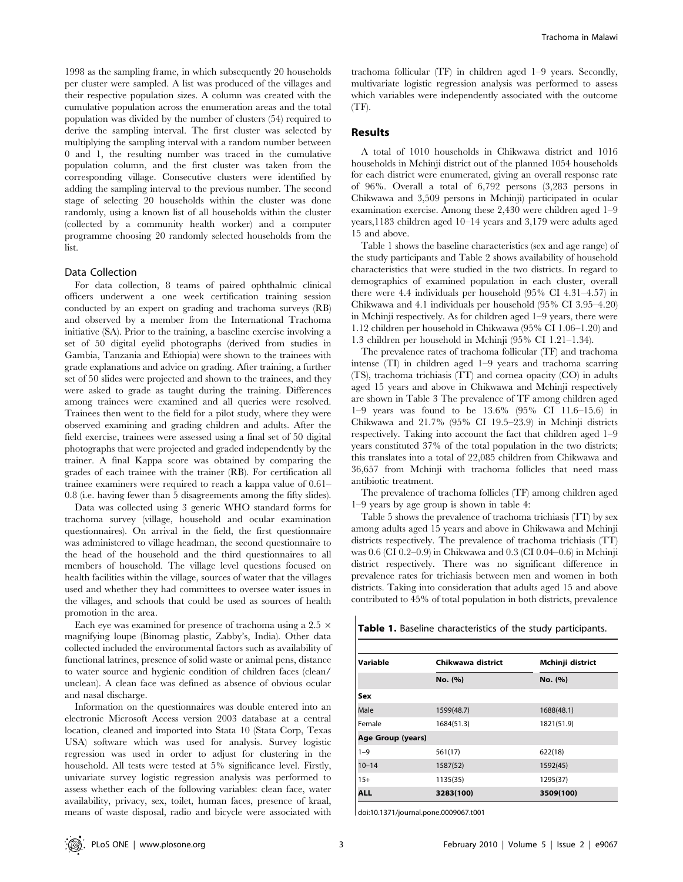1998 as the sampling frame, in which subsequently 20 households per cluster were sampled. A list was produced of the villages and their respective population sizes. A column was created with the cumulative population across the enumeration areas and the total population was divided by the number of clusters (54) required to derive the sampling interval. The first cluster was selected by multiplying the sampling interval with a random number between 0 and 1, the resulting number was traced in the cumulative population column, and the first cluster was taken from the corresponding village. Consecutive clusters were identified by adding the sampling interval to the previous number. The second stage of selecting 20 households within the cluster was done randomly, using a known list of all households within the cluster (collected by a community health worker) and a computer programme choosing 20 randomly selected households from the list.

#### Data Collection

For data collection, 8 teams of paired ophthalmic clinical officers underwent a one week certification training session conducted by an expert on grading and trachoma surveys (RB) and observed by a member from the International Trachoma initiative (SA). Prior to the training, a baseline exercise involving a set of 50 digital eyelid photographs (derived from studies in Gambia, Tanzania and Ethiopia) were shown to the trainees with grade explanations and advice on grading. After training, a further set of 50 slides were projected and shown to the trainees, and they were asked to grade as taught during the training. Differences among trainees were examined and all queries were resolved. Trainees then went to the field for a pilot study, where they were observed examining and grading children and adults. After the field exercise, trainees were assessed using a final set of 50 digital photographs that were projected and graded independently by the trainer. A final Kappa score was obtained by comparing the grades of each trainee with the trainer (RB). For certification all trainee examiners were required to reach a kappa value of 0.61– 0.8 (i.e. having fewer than 5 disagreements among the fifty slides).

Data was collected using 3 generic WHO standard forms for trachoma survey (village, household and ocular examination questionnaires). On arrival in the field, the first questionnaire was administered to village headman, the second questionnaire to the head of the household and the third questionnaires to all members of household. The village level questions focused on health facilities within the village, sources of water that the villages used and whether they had committees to oversee water issues in the villages, and schools that could be used as sources of health promotion in the area.

Each eye was examined for presence of trachoma using a 2.5  $\times$ magnifying loupe (Binomag plastic, Zabby's, India). Other data collected included the environmental factors such as availability of functional latrines, presence of solid waste or animal pens, distance to water source and hygienic condition of children faces (clean/ unclean). A clean face was defined as absence of obvious ocular and nasal discharge.

Information on the questionnaires was double entered into an electronic Microsoft Access version 2003 database at a central location, cleaned and imported into Stata 10 (Stata Corp, Texas USA) software which was used for analysis. Survey logistic regression was used in order to adjust for clustering in the household. All tests were tested at 5% significance level. Firstly, univariate survey logistic regression analysis was performed to assess whether each of the following variables: clean face, water availability, privacy, sex, toilet, human faces, presence of kraal, means of waste disposal, radio and bicycle were associated with trachoma follicular (TF) in children aged 1–9 years. Secondly, multivariate logistic regression analysis was performed to assess which variables were independently associated with the outcome  $(TF)$ .

# Results

A total of 1010 households in Chikwawa district and 1016 households in Mchinji district out of the planned 1054 households for each district were enumerated, giving an overall response rate of 96%. Overall a total of 6,792 persons (3,283 persons in Chikwawa and 3,509 persons in Mchinji) participated in ocular examination exercise. Among these 2,430 were children aged 1–9 years,1183 children aged 10–14 years and 3,179 were adults aged 15 and above.

Table 1 shows the baseline characteristics (sex and age range) of the study participants and Table 2 shows availability of household characteristics that were studied in the two districts. In regard to demographics of examined population in each cluster, overall there were 4.4 individuals per household (95% CI 4.31–4.57) in Chikwawa and 4.1 individuals per household (95% CI 3.95–4.20) in Mchinji respectively. As for children aged 1–9 years, there were 1.12 children per household in Chikwawa (95% CI 1.06–1.20) and 1.3 children per household in Mchinji (95% CI 1.21–1.34).

The prevalence rates of trachoma follicular (TF) and trachoma intense (TI) in children aged 1–9 years and trachoma scarring (TS), trachoma trichiasis (TT) and cornea opacity (CO) in adults aged 15 years and above in Chikwawa and Mchinji respectively are shown in Table 3 The prevalence of TF among children aged 1–9 years was found to be 13.6% (95% CI 11.6–15.6) in Chikwawa and 21.7% (95% CI 19.5–23.9) in Mchinji districts respectively. Taking into account the fact that children aged 1–9 years constituted 37% of the total population in the two districts; this translates into a total of 22,085 children from Chikwawa and 36,657 from Mchinji with trachoma follicles that need mass antibiotic treatment.

The prevalence of trachoma follicles (TF) among children aged 1–9 years by age group is shown in table 4:

Table 5 shows the prevalence of trachoma trichiasis (TT) by sex among adults aged 15 years and above in Chikwawa and Mchinji districts respectively. The prevalence of trachoma trichiasis (TT) was 0.6 (CI 0.2–0.9) in Chikwawa and 0.3 (CI 0.04–0.6) in Mchinji district respectively. There was no significant difference in prevalence rates for trichiasis between men and women in both districts. Taking into consideration that adults aged 15 and above contributed to 45% of total population in both districts, prevalence

Table 1. Baseline characteristics of the study participants.

| Variable          | Chikwawa district | Mchinji district<br>No. (%) |  |  |
|-------------------|-------------------|-----------------------------|--|--|
|                   | No. (%)           |                             |  |  |
| Sex               |                   |                             |  |  |
| Male              | 1599(48.7)        | 1688(48.1)                  |  |  |
| Female            | 1684(51.3)        | 1821(51.9)                  |  |  |
| Age Group (years) |                   |                             |  |  |
| $1 - 9$           | 561(17)           | 622(18)                     |  |  |
| $10 - 14$         | 1587(52)          | 1592(45)                    |  |  |
| $15+$             | 1135(35)          | 1295(37)                    |  |  |
| <b>ALL</b>        | 3283(100)         | 3509(100)                   |  |  |

doi:10.1371/journal.pone.0009067.t001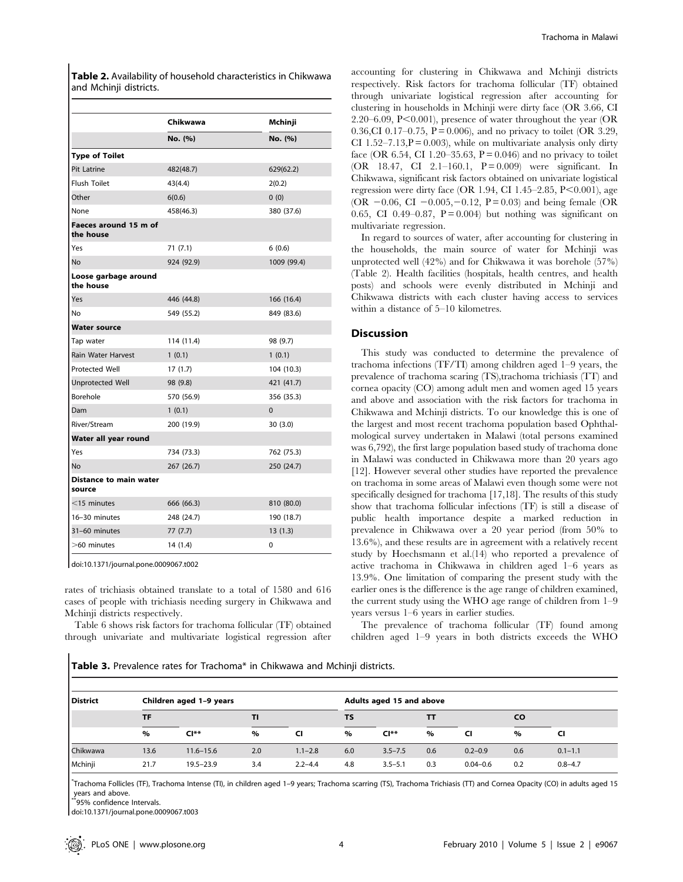Table 2. Availability of household characteristics in Chikwawa and Mchinji districts.

|                                         | Chikwawa   | Mchinji     |
|-----------------------------------------|------------|-------------|
|                                         | No. (%)    | No. (%)     |
|                                         |            |             |
| <b>Type of Toilet</b>                   |            |             |
| <b>Pit Latrine</b>                      | 482(48.7)  | 629(62.2)   |
| Flush Toilet                            | 43(4.4)    | 2(0.2)      |
| Other                                   | 6(0.6)     | 0(0)        |
| None                                    | 458(46.3)  | 380 (37.6)  |
| Faeces around 15 m of<br>the house      |            |             |
| Yes                                     | 71 (7.1)   | 6(0.6)      |
| No                                      | 924 (92.9) | 1009 (99.4) |
| Loose garbage around<br>the house       |            |             |
| Yes                                     | 446 (44.8) | 166 (16.4)  |
| No                                      | 549 (55.2) | 849 (83.6)  |
| <b>Water source</b>                     |            |             |
| Tap water                               | 114 (11.4) | 98 (9.7)    |
| <b>Rain Water Harvest</b>               | 1(0.1)     | 1(0.1)      |
| <b>Protected Well</b>                   | 17(1.7)    | 104 (10.3)  |
| <b>Unprotected Well</b>                 | 98 (9.8)   | 421 (41.7)  |
| Borehole                                | 570 (56.9) | 356 (35.3)  |
| Dam                                     | 1(0.1)     | $\Omega$    |
| River/Stream                            | 200 (19.9) | 30 (3.0)    |
| Water all year round                    |            |             |
| Yes                                     | 734 (73.3) | 762 (75.3)  |
| No                                      | 267 (26.7) | 250 (24.7)  |
| <b>Distance to main water</b><br>source |            |             |
| $<$ 15 minutes                          | 666 (66.3) | 810 (80.0)  |
| 16-30 minutes                           | 248 (24.7) | 190 (18.7)  |
| 31-60 minutes                           | 77 (7.7)   | 13(1.3)     |
| >60 minutes                             | 14 (1.4)   | 0           |

doi:10.1371/journal.pone.0009067.t002

rates of trichiasis obtained translate to a total of 1580 and 616 cases of people with trichiasis needing surgery in Chikwawa and Mchinji districts respectively.

Table 6 shows risk factors for trachoma follicular (TF) obtained through univariate and multivariate logistical regression after

accounting for clustering in Chikwawa and Mchinji districts respectively. Risk factors for trachoma follicular (TF) obtained through univariate logistical regression after accounting for clustering in households in Mchinji were dirty face (OR 3.66, CI 2.20–6.09,  $P<0.001$ ), presence of water throughout the year (OR 0.36,CI 0.17–0.75,  $P = 0.006$ ), and no privacy to toilet (OR 3.29, CI 1.52–7.13, $P = 0.003$ , while on multivariate analysis only dirty face (OR 6.54, CI 1.20–35.63,  $P = 0.046$ ) and no privacy to toilet (OR 18.47, CI 2.1–160.1,  $P = 0.009$ ) were significant. In Chikwawa, significant risk factors obtained on univariate logistical regression were dirty face (OR 1.94, CI 1.45–2.85,  $P<0.001$ ), age (OR  $-0.06$ , CI  $-0.005$ ,  $-0.12$ , P = 0.03) and being female (OR 0.65, CI 0.49–0.87,  $P = 0.004$  but nothing was significant on multivariate regression.

In regard to sources of water, after accounting for clustering in the households, the main source of water for Mchinji was unprotected well (42%) and for Chikwawa it was borehole (57%) (Table 2). Health facilities (hospitals, health centres, and health posts) and schools were evenly distributed in Mchinji and Chikwawa districts with each cluster having access to services within a distance of 5–10 kilometres.

# Discussion

This study was conducted to determine the prevalence of trachoma infections (TF/TI) among children aged 1–9 years, the prevalence of trachoma scaring (TS),trachoma trichiasis (TT) and cornea opacity (CO) among adult men and women aged 15 years and above and association with the risk factors for trachoma in Chikwawa and Mchinji districts. To our knowledge this is one of the largest and most recent trachoma population based Ophthalmological survey undertaken in Malawi (total persons examined was 6,792), the first large population based study of trachoma done in Malawi was conducted in Chikwawa more than 20 years ago [12]. However several other studies have reported the prevalence on trachoma in some areas of Malawi even though some were not specifically designed for trachoma [17,18]. The results of this study show that trachoma follicular infections (TF) is still a disease of public health importance despite a marked reduction in prevalence in Chikwawa over a 20 year period (from 50% to 13.6%), and these results are in agreement with a relatively recent study by Hoechsmann et al.(14) who reported a prevalence of active trachoma in Chikwawa in children aged 1–6 years as 13.9%. One limitation of comparing the present study with the earlier ones is the difference is the age range of children examined, the current study using the WHO age range of children from 1–9 years versus 1–6 years in earlier studies.

The prevalence of trachoma follicular (TF) found among children aged 1–9 years in both districts exceeds the WHO

Table 3. Prevalence rates for Trachoma\* in Chikwawa and Mchinji districts.

| <b>District</b> |           | Children aged 1-9 years |      |             | Adults aged 15 and above |             |     |              |     |             |
|-----------------|-----------|-------------------------|------|-------------|--------------------------|-------------|-----|--------------|-----|-------------|
|                 | <b>TF</b> |                         | TI   |             | TS                       |             | TТ  |              | CO. |             |
|                 | %         | $C I^{**}$              | $\%$ | CI          | %                        | $CI**$      | %   | CI           | %   | <b>CI</b>   |
| Chikwawa        | 13.6      | $11.6 - 15.6$           | 2.0  | $1.1 - 2.8$ | 6.0                      | $3.5 - 7.5$ | 0.6 | $0.2 - 0.9$  | 0.6 | $0.1 - 1.1$ |
| Mchinji         | 21.7      | $19.5 - 23.9$           | 3.4  | $2.2 - 4.4$ | 4.8                      | $3.5 - 5.1$ | 0.3 | $0.04 - 0.6$ | 0.2 | $0.8 - 4.7$ |

\* Trachoma Follicles (TF), Trachoma Intense (TI), in children aged 1–9 years; Trachoma scarring (TS), Trachoma Trichiasis (TT) and Cornea Opacity (CO) in adults aged 15 years and above.

 $^*$ 95% confidence Intervals

doi:10.1371/journal.pone.0009067.t003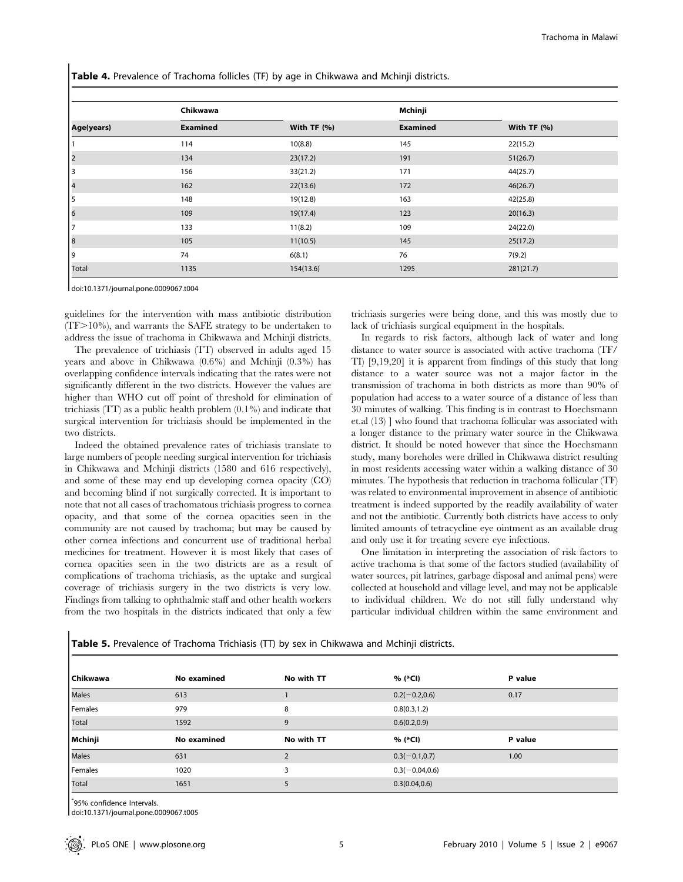Table 4. Prevalence of Trachoma follicles (TF) by age in Chikwawa and Mchinji districts.

|              | Chikwawa        |                | Mchinji         |              |
|--------------|-----------------|----------------|-----------------|--------------|
| Age(years)   | <b>Examined</b> | With TF $(% )$ | <b>Examined</b> | With $TF(%)$ |
|              | 114             | 10(8.8)        | 145             | 22(15.2)     |
| 2            | 134             | 23(17.2)       | 191             | 51(26.7)     |
| 3            | 156             | 33(21.2)       | 171             | 44(25.7)     |
| 4            | 162             | 22(13.6)       | 172             | 46(26.7)     |
| 5            | 148             | 19(12.8)       | 163             | 42(25.8)     |
| 6            | 109             | 19(17.4)       | 123             | 20(16.3)     |
|              | 133             | 11(8.2)        | 109             | 24(22.0)     |
| 18           | 105             | 11(10.5)       | 145             | 25(17.2)     |
| 9            | 74              | 6(8.1)         | 76              | 7(9.2)       |
| <b>Total</b> | 1135            | 154(13.6)      | 1295            | 281(21.7)    |

doi:10.1371/journal.pone.0009067.t004

guidelines for the intervention with mass antibiotic distribution  $(TF>10\%)$ , and warrants the SAFE strategy to be undertaken to address the issue of trachoma in Chikwawa and Mchinji districts.

The prevalence of trichiasis (TT) observed in adults aged 15 years and above in Chikwawa (0.6%) and Mchinji (0.3%) has overlapping confidence intervals indicating that the rates were not significantly different in the two districts. However the values are higher than WHO cut off point of threshold for elimination of trichiasis (TT) as a public health problem (0.1%) and indicate that surgical intervention for trichiasis should be implemented in the two districts.

Indeed the obtained prevalence rates of trichiasis translate to large numbers of people needing surgical intervention for trichiasis in Chikwawa and Mchinji districts (1580 and 616 respectively), and some of these may end up developing cornea opacity (CO) and becoming blind if not surgically corrected. It is important to note that not all cases of trachomatous trichiasis progress to cornea opacity, and that some of the cornea opacities seen in the community are not caused by trachoma; but may be caused by other cornea infections and concurrent use of traditional herbal medicines for treatment. However it is most likely that cases of cornea opacities seen in the two districts are as a result of complications of trachoma trichiasis, as the uptake and surgical coverage of trichiasis surgery in the two districts is very low. Findings from talking to ophthalmic staff and other health workers from the two hospitals in the districts indicated that only a few

trichiasis surgeries were being done, and this was mostly due to lack of trichiasis surgical equipment in the hospitals.

In regards to risk factors, although lack of water and long distance to water source is associated with active trachoma (TF/ TI) [9,19,20] it is apparent from findings of this study that long distance to a water source was not a major factor in the transmission of trachoma in both districts as more than 90% of population had access to a water source of a distance of less than 30 minutes of walking. This finding is in contrast to Hoechsmann et.al (13) ] who found that trachoma follicular was associated with a longer distance to the primary water source in the Chikwawa district. It should be noted however that since the Hoechsmann study, many boreholes were drilled in Chikwawa district resulting in most residents accessing water within a walking distance of 30 minutes. The hypothesis that reduction in trachoma follicular (TF) was related to environmental improvement in absence of antibiotic treatment is indeed supported by the readily availability of water and not the antibiotic. Currently both districts have access to only limited amounts of tetracycline eye ointment as an available drug and only use it for treating severe eye infections.

One limitation in interpreting the association of risk factors to active trachoma is that some of the factors studied (availability of water sources, pit latrines, garbage disposal and animal pens) were collected at household and village level, and may not be applicable to individual children. We do not still fully understand why particular individual children within the same environment and

| l Chikwawa | No examined | No with TT | % (*Cl)           | P value |
|------------|-------------|------------|-------------------|---------|
| Males      | 613         |            | $0.2(-0.2,0.6)$   | 0.17    |
| Females    | 979         | 8          | 0.8(0.3, 1.2)     |         |
| Total      | 1592        | 9          | 0.6(0.2, 0.9)     |         |
|            |             |            |                   |         |
| Mchinji    | No examined | No with TT | % (*CI)           | P value |
| Males      | 631         |            | $0.3(-0.1, 0.7)$  | 1.00    |
| Females    | 1020        | 3          | $0.3(-0.04, 0.6)$ |         |

Table 5. Prevalence of Trachoma Trichiasis (TT) by sex in Chikwawa and Mchinji districts.

\* 95% confidence Intervals.

doi:10.1371/journal.pone.0009067.t005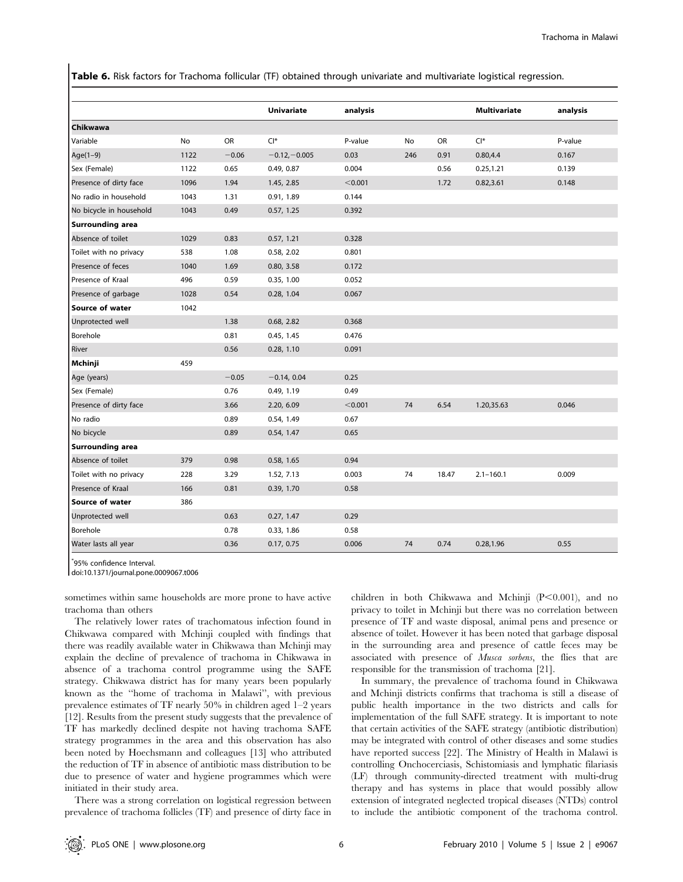Table 6. Risk factors for Trachoma follicular (TF) obtained through univariate and multivariate logistical regression.

|                         |      |         | <b>Univariate</b> | analysis |     |       | <b>Multivariate</b> | analysis |
|-------------------------|------|---------|-------------------|----------|-----|-------|---------------------|----------|
| Chikwawa                |      |         |                   |          |     |       |                     |          |
| Variable                | No   | OR      | $Cl^*$            | P-value  | No  | OR    | $Cl^*$              | P-value  |
| Age $(1-9)$             | 1122 | $-0.06$ | $-0.12,-0.005$    | 0.03     | 246 | 0.91  | 0.80, 4.4           | 0.167    |
| Sex (Female)            | 1122 | 0.65    | 0.49, 0.87        | 0.004    |     | 0.56  | 0.25, 1.21          | 0.139    |
| Presence of dirty face  | 1096 | 1.94    | 1.45, 2.85        | < 0.001  |     | 1.72  | 0.82,3.61           | 0.148    |
| No radio in household   | 1043 | 1.31    | 0.91, 1.89        | 0.144    |     |       |                     |          |
| No bicycle in household | 1043 | 0.49    | 0.57, 1.25        | 0.392    |     |       |                     |          |
| <b>Surrounding area</b> |      |         |                   |          |     |       |                     |          |
| Absence of toilet       | 1029 | 0.83    | 0.57, 1.21        | 0.328    |     |       |                     |          |
| Toilet with no privacy  | 538  | 1.08    | 0.58, 2.02        | 0.801    |     |       |                     |          |
| Presence of feces       | 1040 | 1.69    | 0.80, 3.58        | 0.172    |     |       |                     |          |
| Presence of Kraal       | 496  | 0.59    | 0.35, 1.00        | 0.052    |     |       |                     |          |
| Presence of garbage     | 1028 | 0.54    | 0.28, 1.04        | 0.067    |     |       |                     |          |
| Source of water         | 1042 |         |                   |          |     |       |                     |          |
| Unprotected well        |      | 1.38    | 0.68, 2.82        | 0.368    |     |       |                     |          |
| Borehole                |      | 0.81    | 0.45, 1.45        | 0.476    |     |       |                     |          |
| River                   |      | 0.56    | 0.28, 1.10        | 0.091    |     |       |                     |          |
| Mchinji                 | 459  |         |                   |          |     |       |                     |          |
| Age (years)             |      | $-0.05$ | $-0.14, 0.04$     | 0.25     |     |       |                     |          |
| Sex (Female)            |      | 0.76    | 0.49, 1.19        | 0.49     |     |       |                     |          |
| Presence of dirty face  |      | 3.66    | 2.20, 6.09        | < 0.001  | 74  | 6.54  | 1.20,35.63          | 0.046    |
| No radio                |      | 0.89    | 0.54, 1.49        | 0.67     |     |       |                     |          |
| No bicycle              |      | 0.89    | 0.54, 1.47        | 0.65     |     |       |                     |          |
| Surrounding area        |      |         |                   |          |     |       |                     |          |
| Absence of toilet       | 379  | 0.98    | 0.58, 1.65        | 0.94     |     |       |                     |          |
| Toilet with no privacy  | 228  | 3.29    | 1.52, 7.13        | 0.003    | 74  | 18.47 | $2.1 - 160.1$       | 0.009    |
| Presence of Kraal       | 166  | 0.81    | 0.39, 1.70        | 0.58     |     |       |                     |          |
| Source of water         | 386  |         |                   |          |     |       |                     |          |
| Unprotected well        |      | 0.63    | 0.27, 1.47        | 0.29     |     |       |                     |          |
| Borehole                |      | 0.78    | 0.33, 1.86        | 0.58     |     |       |                     |          |
| Water lasts all year    |      | 0.36    | 0.17, 0.75        | 0.006    | 74  | 0.74  | 0.28,1.96           | 0.55     |

\* 95% confidence Interval.

doi:10.1371/journal.pone.0009067.t006

sometimes within same households are more prone to have active trachoma than others

The relatively lower rates of trachomatous infection found in Chikwawa compared with Mchinji coupled with findings that there was readily available water in Chikwawa than Mchinji may explain the decline of prevalence of trachoma in Chikwawa in absence of a trachoma control programme using the SAFE strategy. Chikwawa district has for many years been popularly known as the ''home of trachoma in Malawi'', with previous prevalence estimates of TF nearly 50% in children aged 1–2 years [12]. Results from the present study suggests that the prevalence of TF has markedly declined despite not having trachoma SAFE strategy programmes in the area and this observation has also been noted by Hoechsmann and colleagues [13] who attributed the reduction of TF in absence of antibiotic mass distribution to be due to presence of water and hygiene programmes which were initiated in their study area.

There was a strong correlation on logistical regression between prevalence of trachoma follicles (TF) and presence of dirty face in children in both Chikwawa and Mchinji  $(P<0.001)$ , and no privacy to toilet in Mchinji but there was no correlation between presence of TF and waste disposal, animal pens and presence or absence of toilet. However it has been noted that garbage disposal in the surrounding area and presence of cattle feces may be associated with presence of Musca sorbens, the flies that are responsible for the transmission of trachoma [21].

In summary, the prevalence of trachoma found in Chikwawa and Mchinji districts confirms that trachoma is still a disease of public health importance in the two districts and calls for implementation of the full SAFE strategy. It is important to note that certain activities of the SAFE strategy (antibiotic distribution) may be integrated with control of other diseases and some studies have reported success [22]. The Ministry of Health in Malawi is controlling Onchocerciasis, Schistomiasis and lymphatic filariasis (LF) through community-directed treatment with multi-drug therapy and has systems in place that would possibly allow extension of integrated neglected tropical diseases (NTDs) control to include the antibiotic component of the trachoma control.